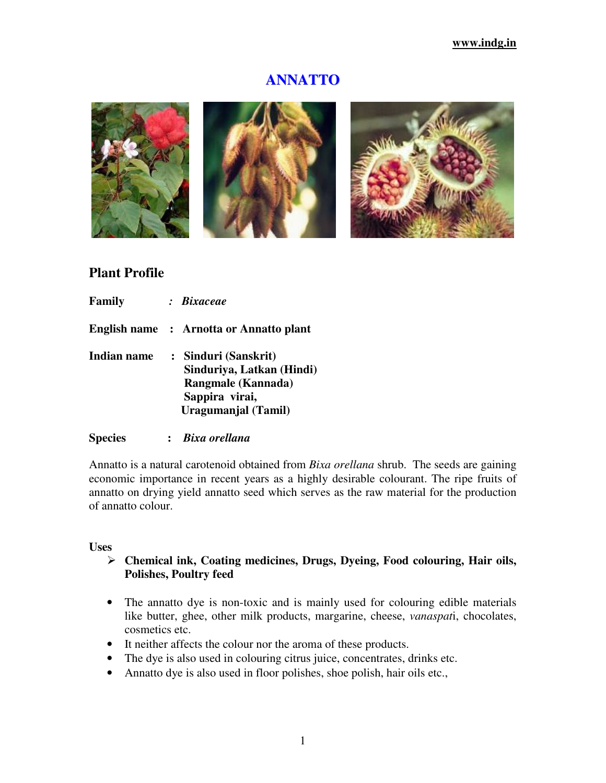# **ANNATTO**



# **Plant Profile**

| Family      | : Bixaceae                                                                                                       |  |
|-------------|------------------------------------------------------------------------------------------------------------------|--|
|             | English name : Arnotta or Annatto plant                                                                          |  |
| Indian name | : Sinduri (Sanskrit)<br>Sinduriya, Latkan (Hindi)<br>Rangmale (Kannada)<br>Sappira virai,<br>Uragumanjal (Tamil) |  |

#### **Species :** *Bixa orellana*

Annatto is a natural carotenoid obtained from *Bixa orellana* shrub. The seeds are gaining economic importance in recent years as a highly desirable colourant. The ripe fruits of annatto on drying yield annatto seed which serves as the raw material for the production of annatto colour.

#### **Uses**

## **Chemical ink, Coating medicines, Drugs, Dyeing, Food colouring, Hair oils, Polishes, Poultry feed**

- The annatto dye is non-toxic and is mainly used for colouring edible materials like butter, ghee, other milk products, margarine, cheese, *vanaspat*i, chocolates, cosmetics etc.
- It neither affects the colour nor the aroma of these products.
- The dye is also used in colouring citrus juice, concentrates, drinks etc.
- Annatto dye is also used in floor polishes, shoe polish, hair oils etc.,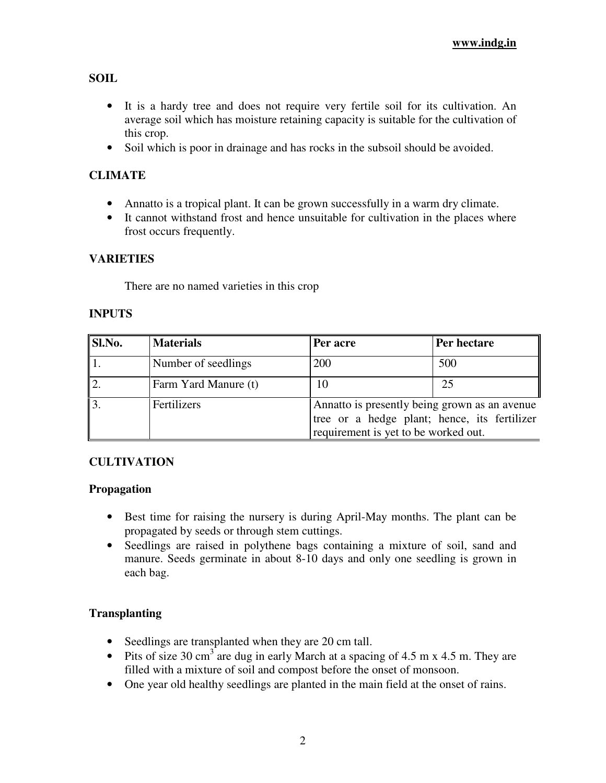**SOIL** 

- It is a hardy tree and does not require very fertile soil for its cultivation. An average soil which has moisture retaining capacity is suitable for the cultivation of this crop.
- Soil which is poor in drainage and has rocks in the subsoil should be avoided.

# **CLIMATE**

- Annatto is a tropical plant. It can be grown successfully in a warm dry climate.
- It cannot withstand frost and hence unsuitable for cultivation in the places where frost occurs frequently.

# **VARIETIES**

There are no named varieties in this crop

## **INPUTS**

| Sl.No.         | <b>Materials</b>     | Per acre                                                                                                                              | Per hectare |
|----------------|----------------------|---------------------------------------------------------------------------------------------------------------------------------------|-------------|
|                | Number of seedlings  | 200                                                                                                                                   | 500         |
|                | Farm Yard Manure (t) | 10                                                                                                                                    | 25          |
| $\overline{3}$ | Fertilizers          | Annatto is presently being grown as an avenue<br>tree or a hedge plant; hence, its fertilizer<br>requirement is yet to be worked out. |             |

# **CULTIVATION**

## **Propagation**

- Best time for raising the nursery is during April-May months. The plant can be propagated by seeds or through stem cuttings.
- Seedlings are raised in polythene bags containing a mixture of soil, sand and manure. Seeds germinate in about 8-10 days and only one seedling is grown in each bag.

## **Transplanting**

- Seedlings are transplanted when they are 20 cm tall.
- Pits of size 30 cm<sup>3</sup> are dug in early March at a spacing of 4.5 m x 4.5 m. They are filled with a mixture of soil and compost before the onset of monsoon.
- One year old healthy seedlings are planted in the main field at the onset of rains.